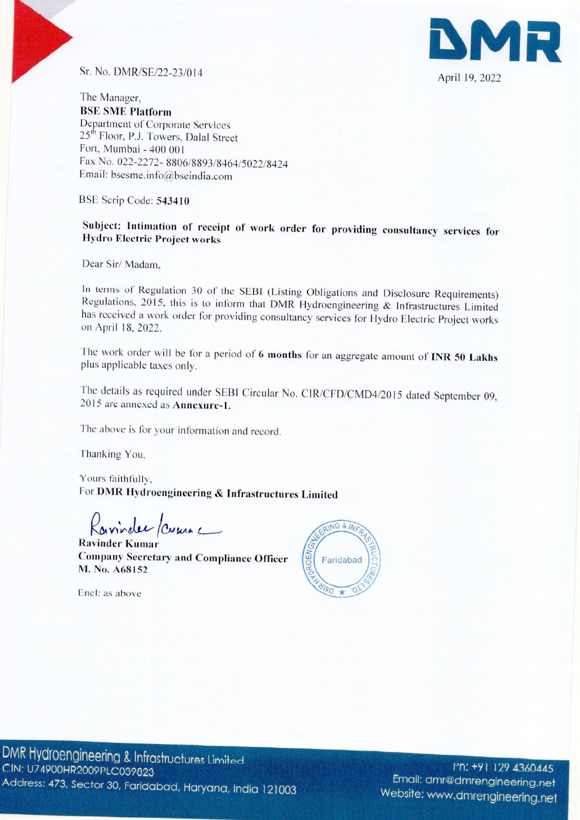## Sr. No. DMR/SE/22-23/014 April 19, 2022



The Manager, **BSE SME Platform** Department of Corporate Services 25<sup>th</sup> Floor, P.J. Towers, Dalal Street Fort, Mumbai - 400 001 Fax No. 022-2272- 8806/8893/8464/5022/8424 Email: bsesme.info@bseindia.com

BSE Scrip Code: 543410

## Subject: Intimation of receipt of work order for providing consultancy services for Hydro Electric Project works

Dear Sir/ Madam.

In terms of Regulation 30 of the SEBI (Listing Obligations and Disclosure Requirements) Regulations, 2015, this is to inform that DMR Hydroengineering  $\&$  Infrastructures Limited has received a work order for providing c Sec. We model (SC22 21:014)<br>
This is interaction of the procedure of the second temperature of the second temperature of the second of the second interaction of the second interaction of the second interaction of the seco

The work order will be for a period of 6 months for an aggregate amount of INR 50 Lakhs plus applicable taxes only.

The details as required under SEBI Circular No. CIR/CFD/CMD4/2015 dated September 09, <sup>2015</sup> are annexed as Annexure-1.

The above is for your information and record.

Thanking You,

Yours faithfully, For DMR Hydroengineering & Infrastructures Limited

ours faithfully,<br>r DMR Hydroengineering &<br>Ravindee /Cumme Kavinder / Cumac

Company Secretary and Compliance Officer M. No. A68152

Encl: as above



Email: dmr@dmrengineering.net<br>Website: www.dmrengineering.net